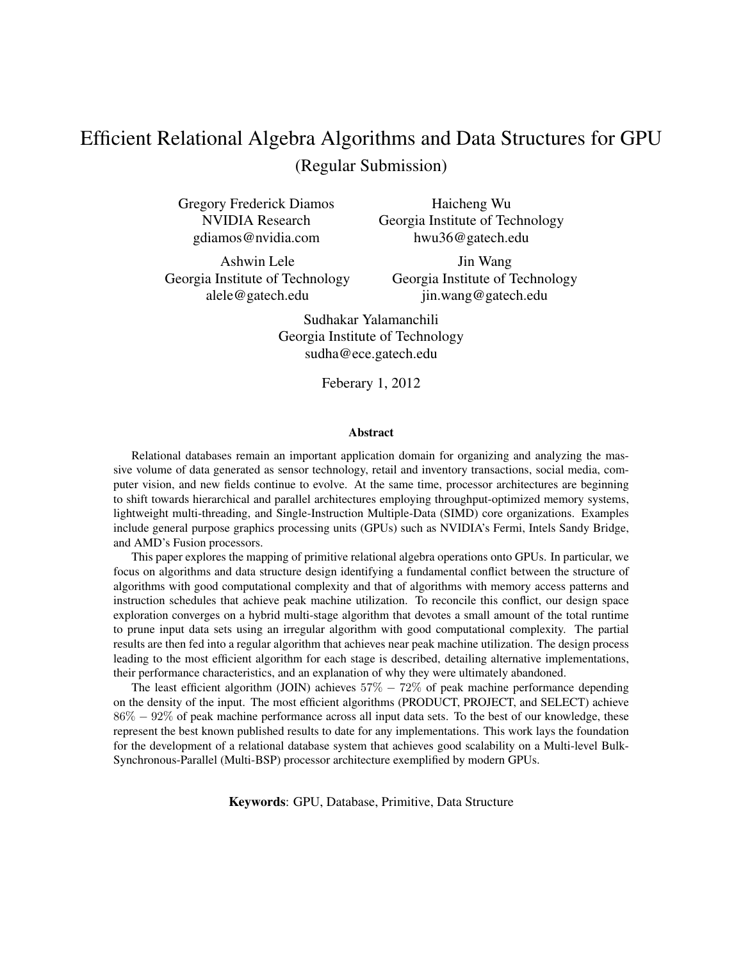# Efficient Relational Algebra Algorithms and Data Structures for GPU (Regular Submission)

Gregory Frederick Diamos NVIDIA Research gdiamos@nvidia.com

Haicheng Wu Georgia Institute of Technology hwu36@gatech.edu

Ashwin Lele Georgia Institute of Technology alele@gatech.edu

Jin Wang Georgia Institute of Technology jin.wang@gatech.edu

Sudhakar Yalamanchili Georgia Institute of Technology sudha@ece.gatech.edu

Feberary 1, 2012

#### Abstract

Relational databases remain an important application domain for organizing and analyzing the massive volume of data generated as sensor technology, retail and inventory transactions, social media, computer vision, and new fields continue to evolve. At the same time, processor architectures are beginning to shift towards hierarchical and parallel architectures employing throughput-optimized memory systems, lightweight multi-threading, and Single-Instruction Multiple-Data (SIMD) core organizations. Examples include general purpose graphics processing units (GPUs) such as NVIDIA's Fermi, Intels Sandy Bridge, and AMD's Fusion processors.

This paper explores the mapping of primitive relational algebra operations onto GPUs. In particular, we focus on algorithms and data structure design identifying a fundamental conflict between the structure of algorithms with good computational complexity and that of algorithms with memory access patterns and instruction schedules that achieve peak machine utilization. To reconcile this conflict, our design space exploration converges on a hybrid multi-stage algorithm that devotes a small amount of the total runtime to prune input data sets using an irregular algorithm with good computational complexity. The partial results are then fed into a regular algorithm that achieves near peak machine utilization. The design process leading to the most efficient algorithm for each stage is described, detailing alternative implementations, their performance characteristics, and an explanation of why they were ultimately abandoned.

The least efficient algorithm (JOIN) achieves  $57\% - 72\%$  of peak machine performance depending on the density of the input. The most efficient algorithms (PRODUCT, PROJECT, and SELECT) achieve 86% − 92% of peak machine performance across all input data sets. To the best of our knowledge, these represent the best known published results to date for any implementations. This work lays the foundation for the development of a relational database system that achieves good scalability on a Multi-level Bulk-Synchronous-Parallel (Multi-BSP) processor architecture exemplified by modern GPUs.

Keywords: GPU, Database, Primitive, Data Structure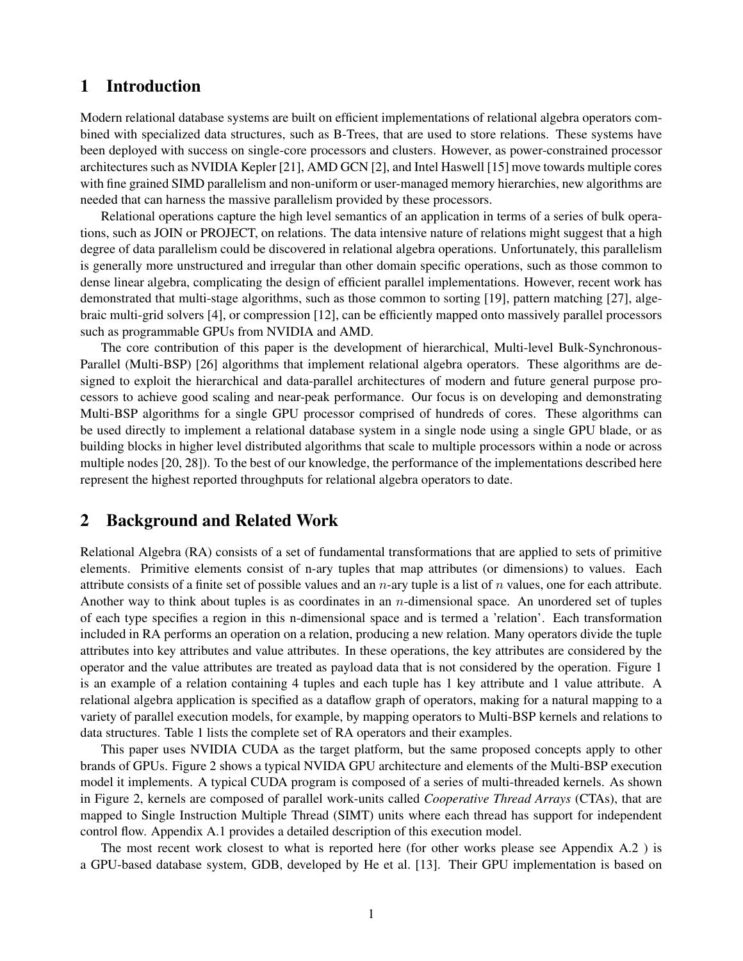## 1 Introduction

Modern relational database systems are built on efficient implementations of relational algebra operators combined with specialized data structures, such as B-Trees, that are used to store relations. These systems have been deployed with success on single-core processors and clusters. However, as power-constrained processor architectures such as NVIDIA Kepler [21], AMD GCN [2], and Intel Haswell [15] move towards multiple cores with fine grained SIMD parallelism and non-uniform or user-managed memory hierarchies, new algorithms are needed that can harness the massive parallelism provided by these processors.

Relational operations capture the high level semantics of an application in terms of a series of bulk operations, such as JOIN or PROJECT, on relations. The data intensive nature of relations might suggest that a high degree of data parallelism could be discovered in relational algebra operations. Unfortunately, this parallelism is generally more unstructured and irregular than other domain specific operations, such as those common to dense linear algebra, complicating the design of efficient parallel implementations. However, recent work has demonstrated that multi-stage algorithms, such as those common to sorting [19], pattern matching [27], algebraic multi-grid solvers [4], or compression [12], can be efficiently mapped onto massively parallel processors such as programmable GPUs from NVIDIA and AMD.

The core contribution of this paper is the development of hierarchical, Multi-level Bulk-Synchronous-Parallel (Multi-BSP) [26] algorithms that implement relational algebra operators. These algorithms are designed to exploit the hierarchical and data-parallel architectures of modern and future general purpose processors to achieve good scaling and near-peak performance. Our focus is on developing and demonstrating Multi-BSP algorithms for a single GPU processor comprised of hundreds of cores. These algorithms can be used directly to implement a relational database system in a single node using a single GPU blade, or as building blocks in higher level distributed algorithms that scale to multiple processors within a node or across multiple nodes [20, 28]). To the best of our knowledge, the performance of the implementations described here represent the highest reported throughputs for relational algebra operators to date.

## 2 Background and Related Work

Relational Algebra (RA) consists of a set of fundamental transformations that are applied to sets of primitive elements. Primitive elements consist of n-ary tuples that map attributes (or dimensions) to values. Each attribute consists of a finite set of possible values and an  $n$ -ary tuple is a list of n values, one for each attribute. Another way to think about tuples is as coordinates in an *n*-dimensional space. An unordered set of tuples of each type specifies a region in this n-dimensional space and is termed a 'relation'. Each transformation included in RA performs an operation on a relation, producing a new relation. Many operators divide the tuple attributes into key attributes and value attributes. In these operations, the key attributes are considered by the operator and the value attributes are treated as payload data that is not considered by the operation. Figure 1 is an example of a relation containing 4 tuples and each tuple has 1 key attribute and 1 value attribute. A relational algebra application is specified as a dataflow graph of operators, making for a natural mapping to a variety of parallel execution models, for example, by mapping operators to Multi-BSP kernels and relations to data structures. Table 1 lists the complete set of RA operators and their examples.

This paper uses NVIDIA CUDA as the target platform, but the same proposed concepts apply to other brands of GPUs. Figure 2 shows a typical NVIDA GPU architecture and elements of the Multi-BSP execution model it implements. A typical CUDA program is composed of a series of multi-threaded kernels. As shown in Figure 2, kernels are composed of parallel work-units called *Cooperative Thread Arrays* (CTAs), that are mapped to Single Instruction Multiple Thread (SIMT) units where each thread has support for independent control flow. Appendix A.1 provides a detailed description of this execution model.

The most recent work closest to what is reported here (for other works please see Appendix A.2 ) is a GPU-based database system, GDB, developed by He et al. [13]. Their GPU implementation is based on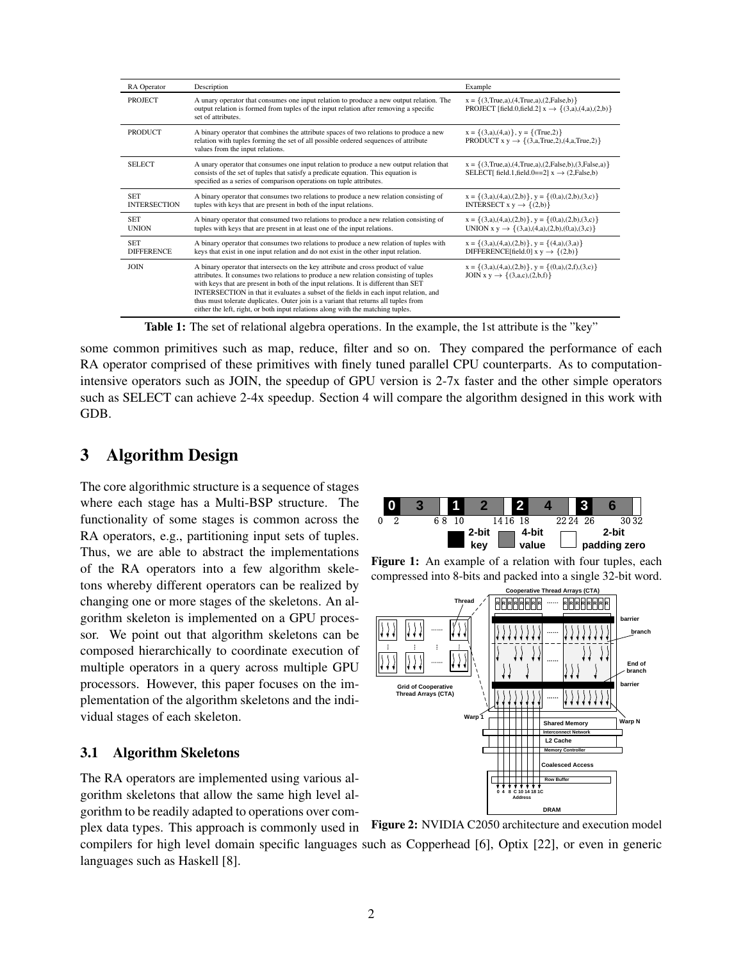| RA Operator                       | Description                                                                                                                                                                                                                                                                                                                                                                                                                                                                                                                        | Example                                                                                                                           |  |  |
|-----------------------------------|------------------------------------------------------------------------------------------------------------------------------------------------------------------------------------------------------------------------------------------------------------------------------------------------------------------------------------------------------------------------------------------------------------------------------------------------------------------------------------------------------------------------------------|-----------------------------------------------------------------------------------------------------------------------------------|--|--|
| <b>PROJECT</b>                    | A unary operator that consumes one input relation to produce a new output relation. The<br>output relation is formed from tuples of the input relation after removing a specific<br>set of attributes.                                                                                                                                                                                                                                                                                                                             | $x = \{(3, True, a), (4, True, a), (2, False, b)\}\$<br>PROJECT [field.0, field.2] $x \rightarrow \{(3,a),(4,a),(2,b)\}$          |  |  |
| <b>PRODUCT</b>                    | A binary operator that combines the attribute spaces of two relations to produce a new<br>relation with tuples forming the set of all possible ordered sequences of attribute<br>values from the input relations.                                                                                                                                                                                                                                                                                                                  | $x = \{(3,a),(4,a)\}\$ , $y = \{(True,2)\}\$<br>PRODUCT $x y \rightarrow \{(3,a,True,2),(4,a,True,2)\}$                           |  |  |
| <b>SELECT</b>                     | A unary operator that consumes one input relation to produce a new output relation that<br>consists of the set of tuples that satisfy a predicate equation. This equation is<br>specified as a series of comparison operations on tuple attributes.                                                                                                                                                                                                                                                                                | $x = \{(3, True, a), (4, True, a), (2, False, b), (3, False, a)\}\$<br>SELECT[ field.1, field.0==2] $x \rightarrow (2, False, b)$ |  |  |
| <b>SET</b><br><b>INTERSECTION</b> | A binary operator that consumes two relations to produce a new relation consisting of<br>tuples with keys that are present in both of the input relations.                                                                                                                                                                                                                                                                                                                                                                         | $x = \{(3,a),(4,a),(2,b)\}, y = \{(0,a),(2,b),(3,c)\}$<br>INTERSECT $x y \rightarrow \{(2,b)\}$                                   |  |  |
| <b>SET</b><br><b>UNION</b>        | A binary operator that consumed two relations to produce a new relation consisting of<br>tuples with keys that are present in at least one of the input relations.                                                                                                                                                                                                                                                                                                                                                                 | $x = \{(3,a),(4,a),(2,b)\}, y = \{(0,a),(2,b),(3,c)\}$<br>UNION $x y \rightarrow \{(3,a),(4,a),(2,b),(0,a),(3,c)\}$               |  |  |
| <b>SET</b><br><b>DIFFERENCE</b>   | A binary operator that consumes two relations to produce a new relation of tuples with<br>keys that exist in one input relation and do not exist in the other input relation.                                                                                                                                                                                                                                                                                                                                                      | $x = \{(3,a),(4,a),(2,b)\}, y = \{(4,a),(3,a)\}$<br>DIFFERENCE[field.0] $x y \rightarrow \{(2,b)\}$                               |  |  |
| <b>JOIN</b>                       | A binary operator that intersects on the key attribute and cross product of value<br>attributes. It consumes two relations to produce a new relation consisting of tuples<br>with keys that are present in both of the input relations. It is different than SET<br>INTERSECTION in that it evaluates a subset of the fields in each input relation, and<br>thus must tolerate duplicates. Outer join is a variant that returns all tuples from<br>either the left, right, or both input relations along with the matching tuples. | $x = \{(3,a),(4,a),(2,b)\}, y = \{(0,a),(2,f),(3,c)\}$<br>JOIN x y $\rightarrow \{(3,a,c),(2,b,f)\}\$                             |  |  |

Table 1: The set of relational algebra operations. In the example, the 1st attribute is the "key"

some common primitives such as map, reduce, filter and so on. They compared the performance of each RA operator comprised of these primitives with finely tuned parallel CPU counterparts. As to computationintensive operators such as JOIN, the speedup of GPU version is 2-7x faster and the other simple operators such as SELECT can achieve 2-4x speedup. Section 4 will compare the algorithm designed in this work with GDB.

## 3 Algorithm Design

The core algorithmic structure is a sequence of stages where each stage has a Multi-BSP structure. The functionality of some stages is common across the RA operators, e.g., partitioning input sets of tuples. Thus, we are able to abstract the implementations of the RA operators into a few algorithm skeletons whereby different operators can be realized by changing one or more stages of the skeletons. An algorithm skeleton is implemented on a GPU processor. We point out that algorithm skeletons can be composed hierarchically to coordinate execution of multiple operators in a query across multiple GPU processors. However, this paper focuses on the implementation of the algorithm skeletons and the individual stages of each skeleton.

#### 3.1 Algorithm Skeletons

languages such as Haskell [8].

The RA operators are implemented using various algorithm skeletons that allow the same high level algorithm to be readily adapted to operations over complex data types. This approach is commonly used in



Figure 1: An example of a relation with four tuples, each compressed into 8-bits and packed into a single 32-bit word.



Figure 2: NVIDIA C2050 architecture and execution model compilers for high level domain specific languages such as Copperhead [6], Optix [22], or even in generic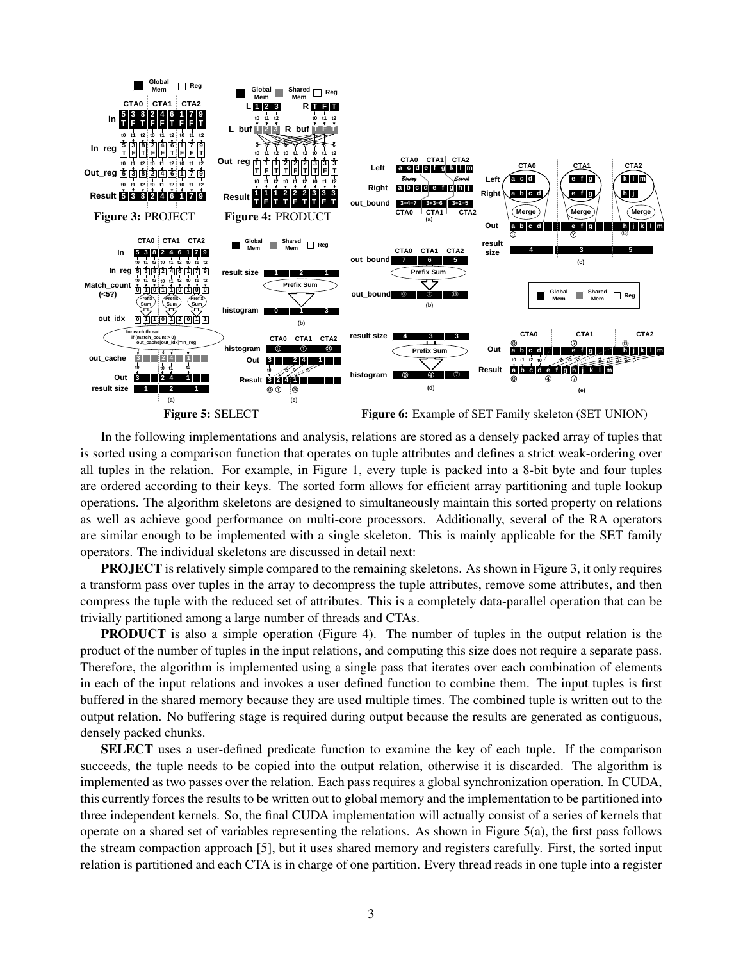

In the following implementations and analysis, relations are stored as a densely packed array of tuples that is sorted using a comparison function that operates on tuple attributes and defines a strict weak-ordering over all tuples in the relation. For example, in Figure 1, every tuple is packed into a 8-bit byte and four tuples are ordered according to their keys. The sorted form allows for efficient array partitioning and tuple lookup operations. The algorithm skeletons are designed to simultaneously maintain this sorted property on relations as well as achieve good performance on multi-core processors. Additionally, several of the RA operators are similar enough to be implemented with a single skeleton. This is mainly applicable for the SET family operators. The individual skeletons are discussed in detail next:

PROJECT is relatively simple compared to the remaining skeletons. As shown in Figure 3, it only requires a transform pass over tuples in the array to decompress the tuple attributes, remove some attributes, and then compress the tuple with the reduced set of attributes. This is a completely data-parallel operation that can be trivially partitioned among a large number of threads and CTAs.

**PRODUCT** is also a simple operation (Figure 4). The number of tuples in the output relation is the product of the number of tuples in the input relations, and computing this size does not require a separate pass. Therefore, the algorithm is implemented using a single pass that iterates over each combination of elements in each of the input relations and invokes a user defined function to combine them. The input tuples is first buffered in the shared memory because they are used multiple times. The combined tuple is written out to the output relation. No buffering stage is required during output because the results are generated as contiguous, densely packed chunks.

SELECT uses a user-defined predicate function to examine the key of each tuple. If the comparison succeeds, the tuple needs to be copied into the output relation, otherwise it is discarded. The algorithm is implemented as two passes over the relation. Each pass requires a global synchronization operation. In CUDA, this currently forces the results to be written out to global memory and the implementation to be partitioned into three independent kernels. So, the final CUDA implementation will actually consist of a series of kernels that operate on a shared set of variables representing the relations. As shown in Figure 5(a), the first pass follows the stream compaction approach [5], but it uses shared memory and registers carefully. First, the sorted input relation is partitioned and each CTA is in charge of one partition. Every thread reads in one tuple into a register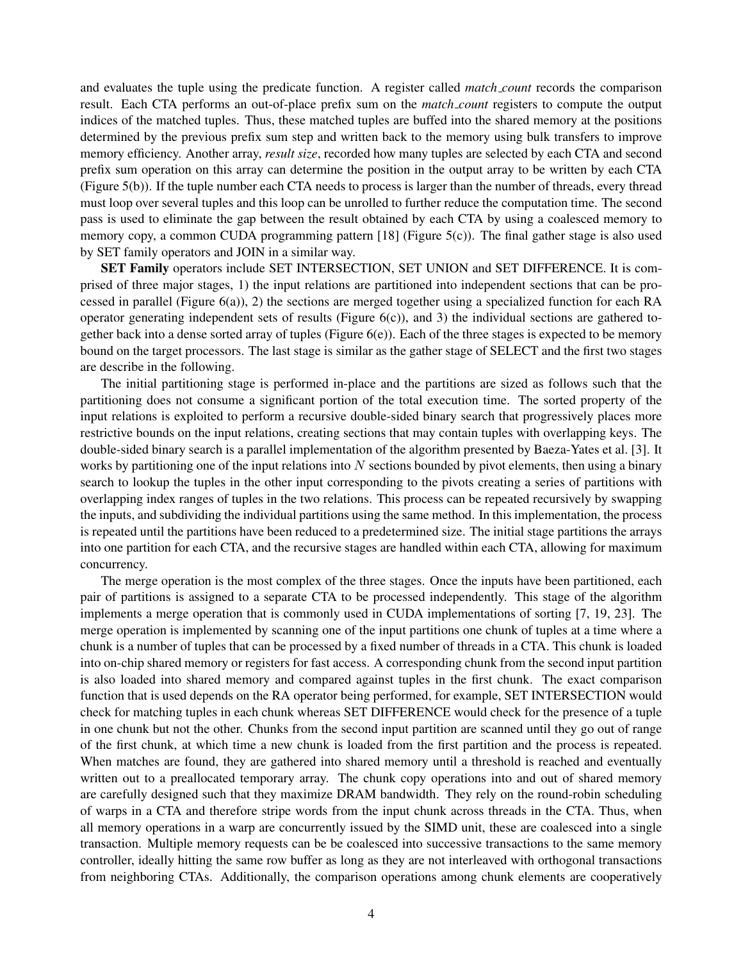and evaluates the tuple using the predicate function. A register called *match count* records the comparison result. Each CTA performs an out-of-place prefix sum on the *match count* registers to compute the output indices of the matched tuples. Thus, these matched tuples are buffed into the shared memory at the positions determined by the previous prefix sum step and written back to the memory using bulk transfers to improve memory efficiency. Another array, *result size*, recorded how many tuples are selected by each CTA and second prefix sum operation on this array can determine the position in the output array to be written by each CTA (Figure 5(b)). If the tuple number each CTA needs to process is larger than the number of threads, every thread must loop over several tuples and this loop can be unrolled to further reduce the computation time. The second pass is used to eliminate the gap between the result obtained by each CTA by using a coalesced memory to memory copy, a common CUDA programming pattern [18] (Figure 5(c)). The final gather stage is also used by SET family operators and JOIN in a similar way.

SET Family operators include SET INTERSECTION, SET UNION and SET DIFFERENCE. It is comprised of three major stages, 1) the input relations are partitioned into independent sections that can be processed in parallel (Figure  $6(a)$ ), 2) the sections are merged together using a specialized function for each RA operator generating independent sets of results (Figure  $6(c)$ ), and 3) the individual sections are gathered together back into a dense sorted array of tuples (Figure  $6(e)$ ). Each of the three stages is expected to be memory bound on the target processors. The last stage is similar as the gather stage of SELECT and the first two stages are describe in the following.

The initial partitioning stage is performed in-place and the partitions are sized as follows such that the partitioning does not consume a significant portion of the total execution time. The sorted property of the input relations is exploited to perform a recursive double-sided binary search that progressively places more restrictive bounds on the input relations, creating sections that may contain tuples with overlapping keys. The double-sided binary search is a parallel implementation of the algorithm presented by Baeza-Yates et al. [3]. It works by partitioning one of the input relations into  $N$  sections bounded by pivot elements, then using a binary search to lookup the tuples in the other input corresponding to the pivots creating a series of partitions with overlapping index ranges of tuples in the two relations. This process can be repeated recursively by swapping the inputs, and subdividing the individual partitions using the same method. In this implementation, the process is repeated until the partitions have been reduced to a predetermined size. The initial stage partitions the arrays into one partition for each CTA, and the recursive stages are handled within each CTA, allowing for maximum concurrency.

The merge operation is the most complex of the three stages. Once the inputs have been partitioned, each pair of partitions is assigned to a separate CTA to be processed independently. This stage of the algorithm implements a merge operation that is commonly used in CUDA implementations of sorting [7, 19, 23]. The merge operation is implemented by scanning one of the input partitions one chunk of tuples at a time where a chunk is a number of tuples that can be processed by a fixed number of threads in a CTA. This chunk is loaded into on-chip shared memory or registers for fast access. A corresponding chunk from the second input partition is also loaded into shared memory and compared against tuples in the first chunk. The exact comparison function that is used depends on the RA operator being performed, for example, SET INTERSECTION would check for matching tuples in each chunk whereas SET DIFFERENCE would check for the presence of a tuple in one chunk but not the other. Chunks from the second input partition are scanned until they go out of range of the first chunk, at which time a new chunk is loaded from the first partition and the process is repeated. When matches are found, they are gathered into shared memory until a threshold is reached and eventually written out to a preallocated temporary array. The chunk copy operations into and out of shared memory are carefully designed such that they maximize DRAM bandwidth. They rely on the round-robin scheduling of warps in a CTA and therefore stripe words from the input chunk across threads in the CTA. Thus, when all memory operations in a warp are concurrently issued by the SIMD unit, these are coalesced into a single transaction. Multiple memory requests can be be coalesced into successive transactions to the same memory controller, ideally hitting the same row buffer as long as they are not interleaved with orthogonal transactions from neighboring CTAs. Additionally, the comparison operations among chunk elements are cooperatively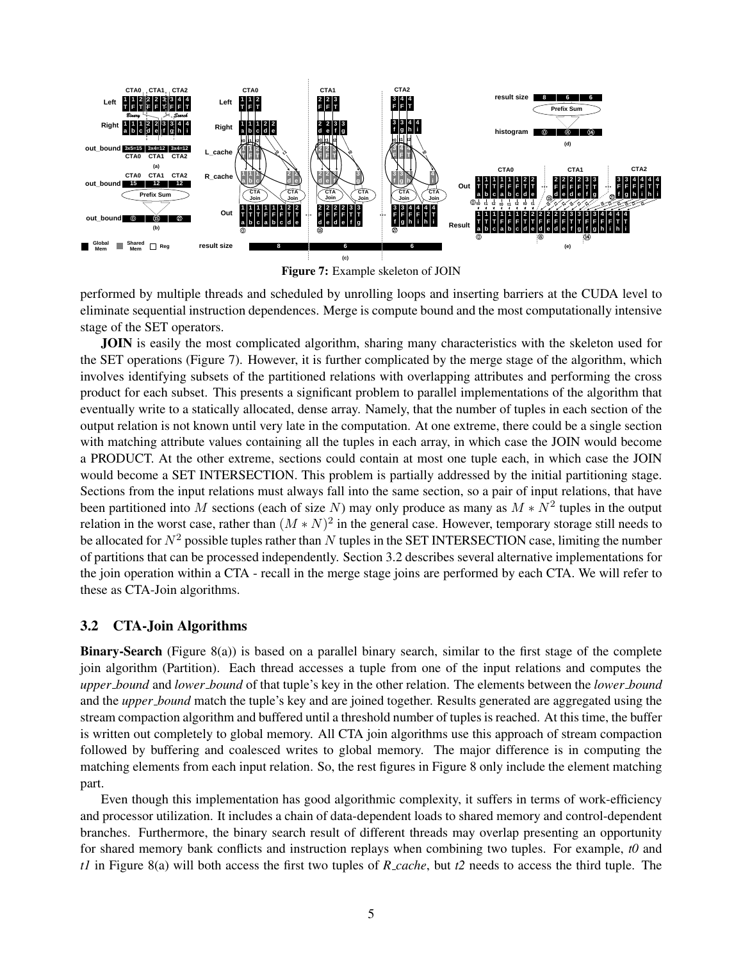

Figure 7: Example skeleton of JOIN

performed by multiple threads and scheduled by unrolling loops and inserting barriers at the CUDA level to eliminate sequential instruction dependences. Merge is compute bound and the most computationally intensive stage of the SET operators.

JOIN is easily the most complicated algorithm, sharing many characteristics with the skeleton used for the SET operations (Figure 7). However, it is further complicated by the merge stage of the algorithm, which involves identifying subsets of the partitioned relations with overlapping attributes and performing the cross product for each subset. This presents a significant problem to parallel implementations of the algorithm that eventually write to a statically allocated, dense array. Namely, that the number of tuples in each section of the output relation is not known until very late in the computation. At one extreme, there could be a single section with matching attribute values containing all the tuples in each array, in which case the JOIN would become a PRODUCT. At the other extreme, sections could contain at most one tuple each, in which case the JOIN would become a SET INTERSECTION. This problem is partially addressed by the initial partitioning stage. Sections from the input relations must always fall into the same section, so a pair of input relations, that have been partitioned into M sections (each of size N) may only produce as many as  $M*N^2$  tuples in the output relation in the worst case, rather than  $(M*N)^2$  in the general case. However, temporary storage still needs to be allocated for  $N^2$  possible tuples rather than N tuples in the SET INTERSECTION case, limiting the number of partitions that can be processed independently. Section 3.2 describes several alternative implementations for the join operation within a CTA - recall in the merge stage joins are performed by each CTA. We will refer to these as CTA-Join algorithms.

### 3.2 CTA-Join Algorithms

Binary-Search (Figure 8(a)) is based on a parallel binary search, similar to the first stage of the complete join algorithm (Partition). Each thread accesses a tuple from one of the input relations and computes the *upper bound* and *lower bound* of that tuple's key in the other relation. The elements between the *lower bound* and the *upper bound* match the tuple's key and are joined together. Results generated are aggregated using the stream compaction algorithm and buffered until a threshold number of tuples is reached. At this time, the buffer is written out completely to global memory. All CTA join algorithms use this approach of stream compaction followed by buffering and coalesced writes to global memory. The major difference is in computing the matching elements from each input relation. So, the rest figures in Figure 8 only include the element matching part.

Even though this implementation has good algorithmic complexity, it suffers in terms of work-efficiency and processor utilization. It includes a chain of data-dependent loads to shared memory and control-dependent branches. Furthermore, the binary search result of different threads may overlap presenting an opportunity for shared memory bank conflicts and instruction replays when combining two tuples. For example, *t0* and *t1* in Figure 8(a) will both access the first two tuples of *R cache*, but *t2* needs to access the third tuple. The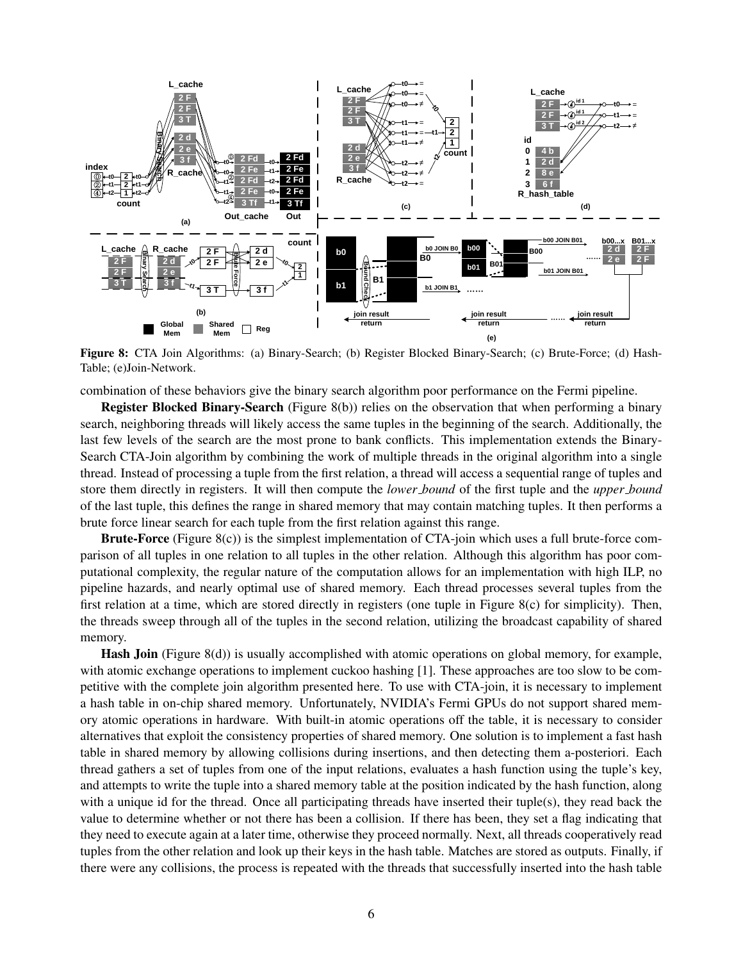

Figure 8: CTA Join Algorithms: (a) Binary-Search; (b) Register Blocked Binary-Search; (c) Brute-Force; (d) Hash-Table; (e)Join-Network.

combination of these behaviors give the binary search algorithm poor performance on the Fermi pipeline.

Register Blocked Binary-Search (Figure 8(b)) relies on the observation that when performing a binary search, neighboring threads will likely access the same tuples in the beginning of the search. Additionally, the last few levels of the search are the most prone to bank conflicts. This implementation extends the Binary-Search CTA-Join algorithm by combining the work of multiple threads in the original algorithm into a single thread. Instead of processing a tuple from the first relation, a thread will access a sequential range of tuples and store them directly in registers. It will then compute the *lower bound* of the first tuple and the *upper bound* of the last tuple, this defines the range in shared memory that may contain matching tuples. It then performs a brute force linear search for each tuple from the first relation against this range.

Brute-Force (Figure 8(c)) is the simplest implementation of CTA-join which uses a full brute-force comparison of all tuples in one relation to all tuples in the other relation. Although this algorithm has poor computational complexity, the regular nature of the computation allows for an implementation with high ILP, no pipeline hazards, and nearly optimal use of shared memory. Each thread processes several tuples from the first relation at a time, which are stored directly in registers (one tuple in Figure 8(c) for simplicity). Then, the threads sweep through all of the tuples in the second relation, utilizing the broadcast capability of shared memory.

Hash Join (Figure 8(d)) is usually accomplished with atomic operations on global memory, for example, with atomic exchange operations to implement cuckoo hashing [1]. These approaches are too slow to be competitive with the complete join algorithm presented here. To use with CTA-join, it is necessary to implement a hash table in on-chip shared memory. Unfortunately, NVIDIA's Fermi GPUs do not support shared memory atomic operations in hardware. With built-in atomic operations off the table, it is necessary to consider alternatives that exploit the consistency properties of shared memory. One solution is to implement a fast hash table in shared memory by allowing collisions during insertions, and then detecting them a-posteriori. Each thread gathers a set of tuples from one of the input relations, evaluates a hash function using the tuple's key, and attempts to write the tuple into a shared memory table at the position indicated by the hash function, along with a unique id for the thread. Once all participating threads have inserted their tuple(s), they read back the value to determine whether or not there has been a collision. If there has been, they set a flag indicating that they need to execute again at a later time, otherwise they proceed normally. Next, all threads cooperatively read tuples from the other relation and look up their keys in the hash table. Matches are stored as outputs. Finally, if there were any collisions, the process is repeated with the threads that successfully inserted into the hash table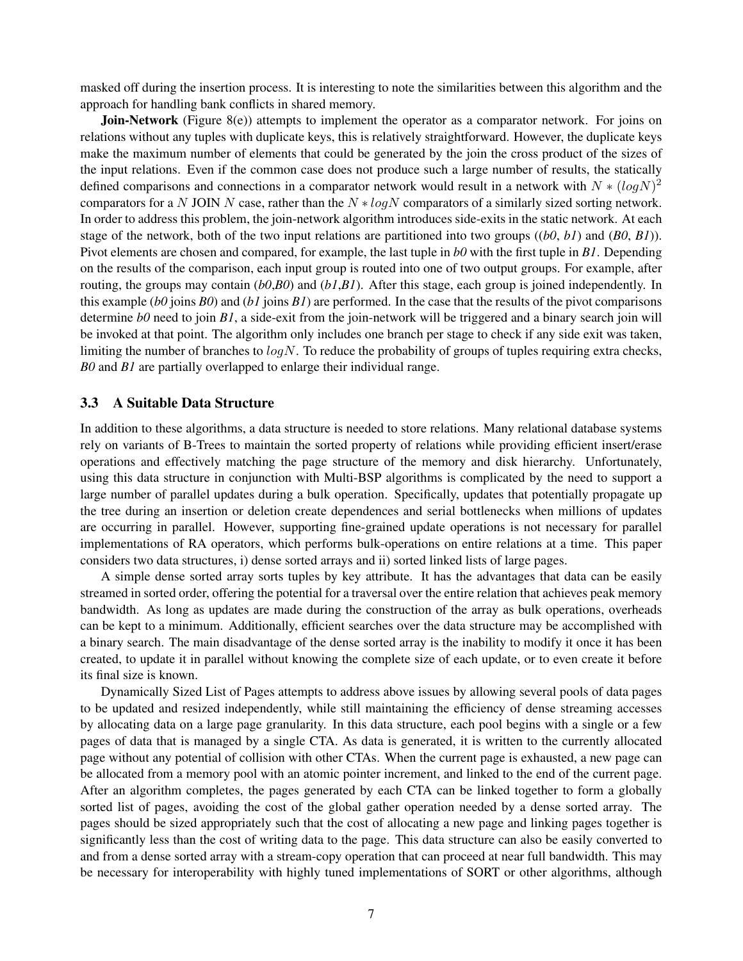masked off during the insertion process. It is interesting to note the similarities between this algorithm and the approach for handling bank conflicts in shared memory.

Join-Network (Figure 8(e)) attempts to implement the operator as a comparator network. For joins on relations without any tuples with duplicate keys, this is relatively straightforward. However, the duplicate keys make the maximum number of elements that could be generated by the join the cross product of the sizes of the input relations. Even if the common case does not produce such a large number of results, the statically defined comparisons and connections in a comparator network would result in a network with  $N*(log N)^2$ comparators for a N JOIN N case, rather than the  $N * logN$  comparators of a similarly sized sorting network. In order to address this problem, the join-network algorithm introduces side-exits in the static network. At each stage of the network, both of the two input relations are partitioned into two groups ((*b0*, *b1*) and (*B0*, *B1*)). Pivot elements are chosen and compared, for example, the last tuple in *b0* with the first tuple in *B1*. Depending on the results of the comparison, each input group is routed into one of two output groups. For example, after routing, the groups may contain (*b0*,*B0*) and (*b1*,*B1*). After this stage, each group is joined independently. In this example (*b0* joins *B0*) and (*b1* joins *B1*) are performed. In the case that the results of the pivot comparisons determine *b0* need to join *B1*, a side-exit from the join-network will be triggered and a binary search join will be invoked at that point. The algorithm only includes one branch per stage to check if any side exit was taken, limiting the number of branches to  $log N$ . To reduce the probability of groups of tuples requiring extra checks, *B0* and *B1* are partially overlapped to enlarge their individual range.

#### 3.3 A Suitable Data Structure

In addition to these algorithms, a data structure is needed to store relations. Many relational database systems rely on variants of B-Trees to maintain the sorted property of relations while providing efficient insert/erase operations and effectively matching the page structure of the memory and disk hierarchy. Unfortunately, using this data structure in conjunction with Multi-BSP algorithms is complicated by the need to support a large number of parallel updates during a bulk operation. Specifically, updates that potentially propagate up the tree during an insertion or deletion create dependences and serial bottlenecks when millions of updates are occurring in parallel. However, supporting fine-grained update operations is not necessary for parallel implementations of RA operators, which performs bulk-operations on entire relations at a time. This paper considers two data structures, i) dense sorted arrays and ii) sorted linked lists of large pages.

A simple dense sorted array sorts tuples by key attribute. It has the advantages that data can be easily streamed in sorted order, offering the potential for a traversal over the entire relation that achieves peak memory bandwidth. As long as updates are made during the construction of the array as bulk operations, overheads can be kept to a minimum. Additionally, efficient searches over the data structure may be accomplished with a binary search. The main disadvantage of the dense sorted array is the inability to modify it once it has been created, to update it in parallel without knowing the complete size of each update, or to even create it before its final size is known.

Dynamically Sized List of Pages attempts to address above issues by allowing several pools of data pages to be updated and resized independently, while still maintaining the efficiency of dense streaming accesses by allocating data on a large page granularity. In this data structure, each pool begins with a single or a few pages of data that is managed by a single CTA. As data is generated, it is written to the currently allocated page without any potential of collision with other CTAs. When the current page is exhausted, a new page can be allocated from a memory pool with an atomic pointer increment, and linked to the end of the current page. After an algorithm completes, the pages generated by each CTA can be linked together to form a globally sorted list of pages, avoiding the cost of the global gather operation needed by a dense sorted array. The pages should be sized appropriately such that the cost of allocating a new page and linking pages together is significantly less than the cost of writing data to the page. This data structure can also be easily converted to and from a dense sorted array with a stream-copy operation that can proceed at near full bandwidth. This may be necessary for interoperability with highly tuned implementations of SORT or other algorithms, although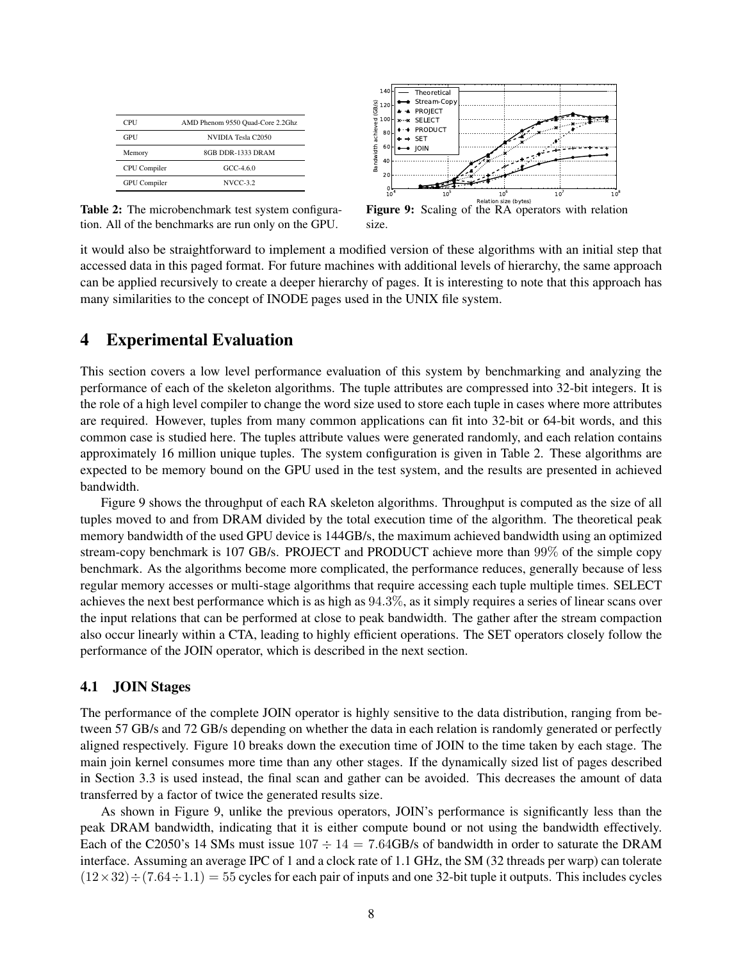| AMD Phenom 9550 Quad-Core 2.2Ghz |  |  |  |  |
|----------------------------------|--|--|--|--|
| NVIDIA Tesla C2050               |  |  |  |  |
| 8GB DDR-1333 DRAM                |  |  |  |  |
| $GCC-4.6.0$                      |  |  |  |  |
| <b>NVCC-3.2</b>                  |  |  |  |  |
|                                  |  |  |  |  |



Table 2: The microbenchmark test system configuration. All of the benchmarks are run only on the GPU.



it would also be straightforward to implement a modified version of these algorithms with an initial step that accessed data in this paged format. For future machines with additional levels of hierarchy, the same approach can be applied recursively to create a deeper hierarchy of pages. It is interesting to note that this approach has many similarities to the concept of INODE pages used in the UNIX file system.

### 4 Experimental Evaluation

This section covers a low level performance evaluation of this system by benchmarking and analyzing the performance of each of the skeleton algorithms. The tuple attributes are compressed into 32-bit integers. It is the role of a high level compiler to change the word size used to store each tuple in cases where more attributes are required. However, tuples from many common applications can fit into 32-bit or 64-bit words, and this common case is studied here. The tuples attribute values were generated randomly, and each relation contains approximately 16 million unique tuples. The system configuration is given in Table 2. These algorithms are expected to be memory bound on the GPU used in the test system, and the results are presented in achieved bandwidth.

Figure 9 shows the throughput of each RA skeleton algorithms. Throughput is computed as the size of all tuples moved to and from DRAM divided by the total execution time of the algorithm. The theoretical peak memory bandwidth of the used GPU device is 144GB/s, the maximum achieved bandwidth using an optimized stream-copy benchmark is 107 GB/s. PROJECT and PRODUCT achieve more than 99% of the simple copy benchmark. As the algorithms become more complicated, the performance reduces, generally because of less regular memory accesses or multi-stage algorithms that require accessing each tuple multiple times. SELECT achieves the next best performance which is as high as 94.3%, as it simply requires a series of linear scans over the input relations that can be performed at close to peak bandwidth. The gather after the stream compaction also occur linearly within a CTA, leading to highly efficient operations. The SET operators closely follow the performance of the JOIN operator, which is described in the next section.

### 4.1 JOIN Stages

The performance of the complete JOIN operator is highly sensitive to the data distribution, ranging from between 57 GB/s and 72 GB/s depending on whether the data in each relation is randomly generated or perfectly aligned respectively. Figure 10 breaks down the execution time of JOIN to the time taken by each stage. The main join kernel consumes more time than any other stages. If the dynamically sized list of pages described in Section 3.3 is used instead, the final scan and gather can be avoided. This decreases the amount of data transferred by a factor of twice the generated results size.

As shown in Figure 9, unlike the previous operators, JOIN's performance is significantly less than the peak DRAM bandwidth, indicating that it is either compute bound or not using the bandwidth effectively. Each of the C2050's 14 SMs must issue  $107 \div 14 = 7.64$ GB/s of bandwidth in order to saturate the DRAM interface. Assuming an average IPC of 1 and a clock rate of 1.1 GHz, the SM (32 threads per warp) can tolerate  $(12\times32)$   $\div$   $(7.64\div1.1)$  = 55 cycles for each pair of inputs and one 32-bit tuple it outputs. This includes cycles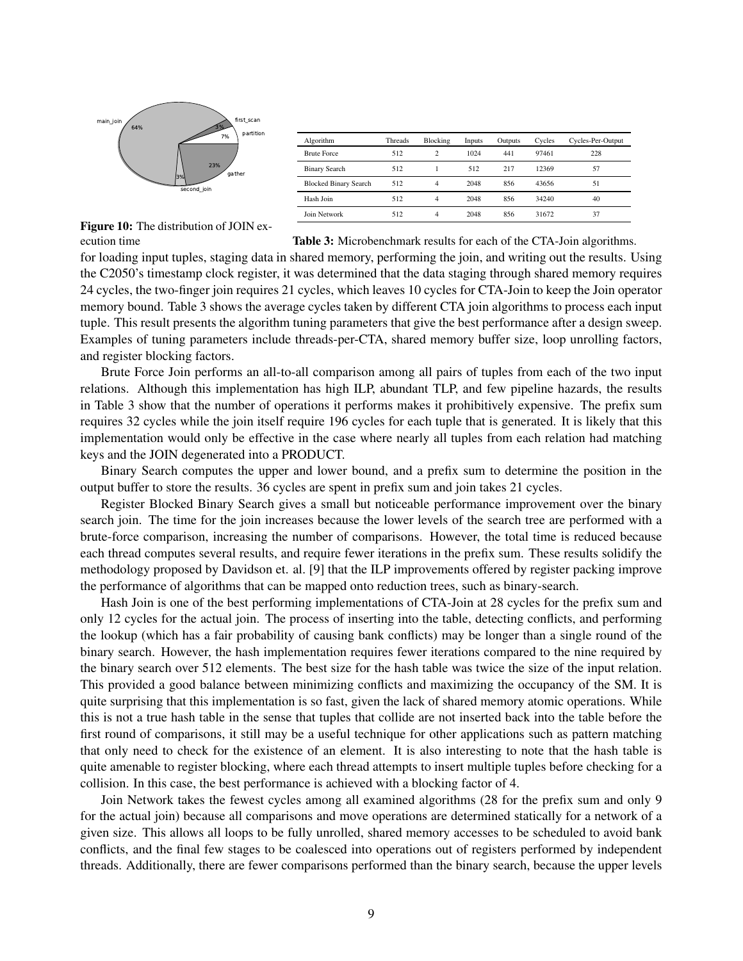

| Algorithm                    | <b>Threads</b> | Blocking       | Inputs | Outputs | Cycles | Cycles-Per-Output |
|------------------------------|----------------|----------------|--------|---------|--------|-------------------|
| <b>Brute Force</b>           | 512            | $\overline{c}$ | 1024   | 441     | 97461  | 228               |
| <b>Binary Search</b>         | 512            |                | 512    | 217     | 12369  | 57                |
| <b>Blocked Binary Search</b> | 512            | $\overline{4}$ | 2048   | 856     | 43656  | 51                |
| Hash Join                    | 512            | $\overline{4}$ | 2048   | 856     | 34240  | 40                |
| Join Network                 | 512            | 4              | 2048   | 856     | 31672  | 37                |

Figure 10: The distribution of JOIN execution time

Table 3: Microbenchmark results for each of the CTA-Join algorithms.

for loading input tuples, staging data in shared memory, performing the join, and writing out the results. Using the C2050's timestamp clock register, it was determined that the data staging through shared memory requires 24 cycles, the two-finger join requires 21 cycles, which leaves 10 cycles for CTA-Join to keep the Join operator memory bound. Table 3 shows the average cycles taken by different CTA join algorithms to process each input tuple. This result presents the algorithm tuning parameters that give the best performance after a design sweep. Examples of tuning parameters include threads-per-CTA, shared memory buffer size, loop unrolling factors, and register blocking factors.

Brute Force Join performs an all-to-all comparison among all pairs of tuples from each of the two input relations. Although this implementation has high ILP, abundant TLP, and few pipeline hazards, the results in Table 3 show that the number of operations it performs makes it prohibitively expensive. The prefix sum requires 32 cycles while the join itself require 196 cycles for each tuple that is generated. It is likely that this implementation would only be effective in the case where nearly all tuples from each relation had matching keys and the JOIN degenerated into a PRODUCT.

Binary Search computes the upper and lower bound, and a prefix sum to determine the position in the output buffer to store the results. 36 cycles are spent in prefix sum and join takes 21 cycles.

Register Blocked Binary Search gives a small but noticeable performance improvement over the binary search join. The time for the join increases because the lower levels of the search tree are performed with a brute-force comparison, increasing the number of comparisons. However, the total time is reduced because each thread computes several results, and require fewer iterations in the prefix sum. These results solidify the methodology proposed by Davidson et. al. [9] that the ILP improvements offered by register packing improve the performance of algorithms that can be mapped onto reduction trees, such as binary-search.

Hash Join is one of the best performing implementations of CTA-Join at 28 cycles for the prefix sum and only 12 cycles for the actual join. The process of inserting into the table, detecting conflicts, and performing the lookup (which has a fair probability of causing bank conflicts) may be longer than a single round of the binary search. However, the hash implementation requires fewer iterations compared to the nine required by the binary search over 512 elements. The best size for the hash table was twice the size of the input relation. This provided a good balance between minimizing conflicts and maximizing the occupancy of the SM. It is quite surprising that this implementation is so fast, given the lack of shared memory atomic operations. While this is not a true hash table in the sense that tuples that collide are not inserted back into the table before the first round of comparisons, it still may be a useful technique for other applications such as pattern matching that only need to check for the existence of an element. It is also interesting to note that the hash table is quite amenable to register blocking, where each thread attempts to insert multiple tuples before checking for a collision. In this case, the best performance is achieved with a blocking factor of 4.

Join Network takes the fewest cycles among all examined algorithms (28 for the prefix sum and only 9 for the actual join) because all comparisons and move operations are determined statically for a network of a given size. This allows all loops to be fully unrolled, shared memory accesses to be scheduled to avoid bank conflicts, and the final few stages to be coalesced into operations out of registers performed by independent threads. Additionally, there are fewer comparisons performed than the binary search, because the upper levels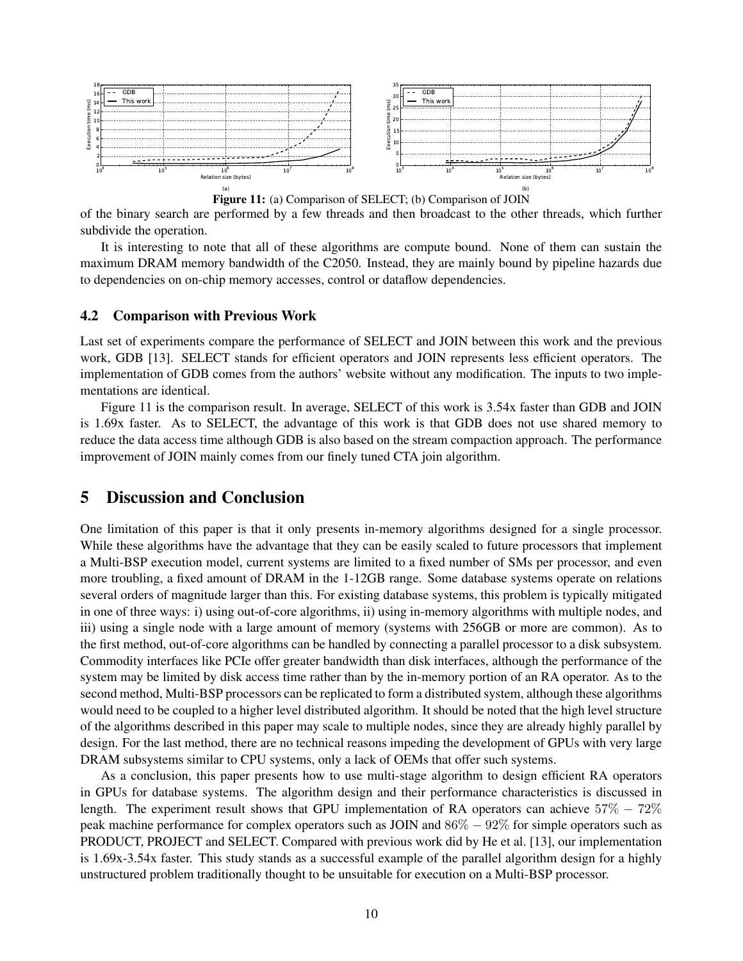

Figure 11: (a) Comparison of SELECT; (b) Comparison of JOIN

of the binary search are performed by a few threads and then broadcast to the other threads, which further subdivide the operation.

It is interesting to note that all of these algorithms are compute bound. None of them can sustain the maximum DRAM memory bandwidth of the C2050. Instead, they are mainly bound by pipeline hazards due to dependencies on on-chip memory accesses, control or dataflow dependencies.

#### 4.2 Comparison with Previous Work

Last set of experiments compare the performance of SELECT and JOIN between this work and the previous work, GDB [13]. SELECT stands for efficient operators and JOIN represents less efficient operators. The implementation of GDB comes from the authors' website without any modification. The inputs to two implementations are identical.

Figure 11 is the comparison result. In average, SELECT of this work is 3.54x faster than GDB and JOIN is 1.69x faster. As to SELECT, the advantage of this work is that GDB does not use shared memory to reduce the data access time although GDB is also based on the stream compaction approach. The performance improvement of JOIN mainly comes from our finely tuned CTA join algorithm.

### 5 Discussion and Conclusion

One limitation of this paper is that it only presents in-memory algorithms designed for a single processor. While these algorithms have the advantage that they can be easily scaled to future processors that implement a Multi-BSP execution model, current systems are limited to a fixed number of SMs per processor, and even more troubling, a fixed amount of DRAM in the 1-12GB range. Some database systems operate on relations several orders of magnitude larger than this. For existing database systems, this problem is typically mitigated in one of three ways: i) using out-of-core algorithms, ii) using in-memory algorithms with multiple nodes, and iii) using a single node with a large amount of memory (systems with 256GB or more are common). As to the first method, out-of-core algorithms can be handled by connecting a parallel processor to a disk subsystem. Commodity interfaces like PCIe offer greater bandwidth than disk interfaces, although the performance of the system may be limited by disk access time rather than by the in-memory portion of an RA operator. As to the second method, Multi-BSP processors can be replicated to form a distributed system, although these algorithms would need to be coupled to a higher level distributed algorithm. It should be noted that the high level structure of the algorithms described in this paper may scale to multiple nodes, since they are already highly parallel by design. For the last method, there are no technical reasons impeding the development of GPUs with very large DRAM subsystems similar to CPU systems, only a lack of OEMs that offer such systems.

As a conclusion, this paper presents how to use multi-stage algorithm to design efficient RA operators in GPUs for database systems. The algorithm design and their performance characteristics is discussed in length. The experiment result shows that GPU implementation of RA operators can achieve  $57\% - 72\%$ peak machine performance for complex operators such as JOIN and 86% − 92% for simple operators such as PRODUCT, PROJECT and SELECT. Compared with previous work did by He et al. [13], our implementation is 1.69x-3.54x faster. This study stands as a successful example of the parallel algorithm design for a highly unstructured problem traditionally thought to be unsuitable for execution on a Multi-BSP processor.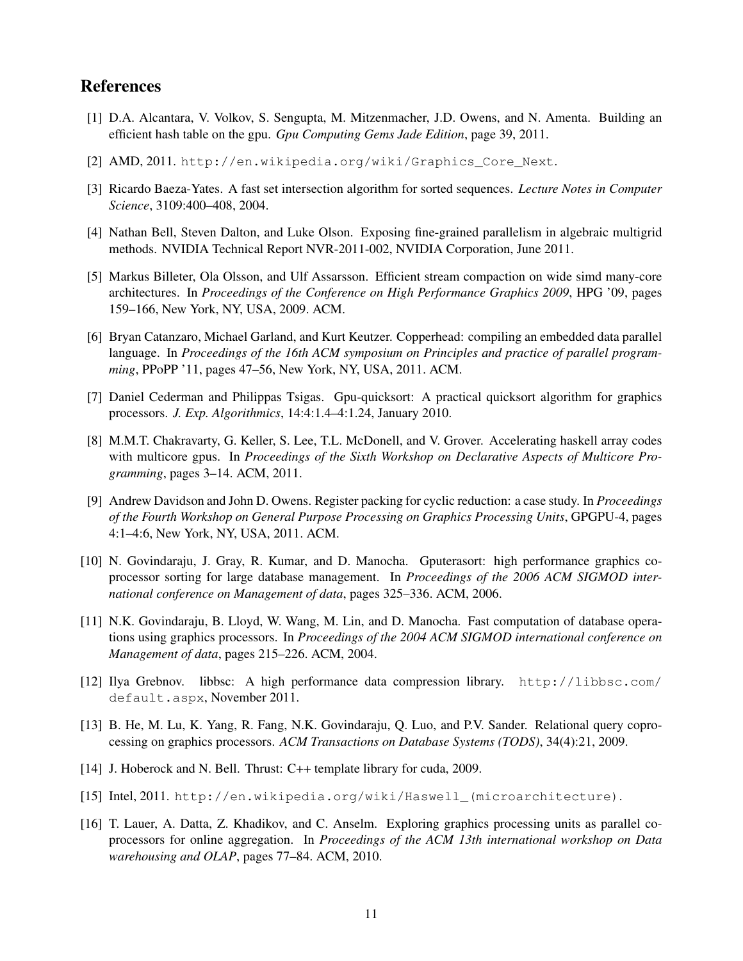### References

- [1] D.A. Alcantara, V. Volkov, S. Sengupta, M. Mitzenmacher, J.D. Owens, and N. Amenta. Building an efficient hash table on the gpu. *Gpu Computing Gems Jade Edition*, page 39, 2011.
- [2] AMD, 2011. http://en.wikipedia.org/wiki/Graphics\_Core\_Next.
- [3] Ricardo Baeza-Yates. A fast set intersection algorithm for sorted sequences. *Lecture Notes in Computer Science*, 3109:400–408, 2004.
- [4] Nathan Bell, Steven Dalton, and Luke Olson. Exposing fine-grained parallelism in algebraic multigrid methods. NVIDIA Technical Report NVR-2011-002, NVIDIA Corporation, June 2011.
- [5] Markus Billeter, Ola Olsson, and Ulf Assarsson. Efficient stream compaction on wide simd many-core architectures. In *Proceedings of the Conference on High Performance Graphics 2009*, HPG '09, pages 159–166, New York, NY, USA, 2009. ACM.
- [6] Bryan Catanzaro, Michael Garland, and Kurt Keutzer. Copperhead: compiling an embedded data parallel language. In *Proceedings of the 16th ACM symposium on Principles and practice of parallel programming*, PPoPP '11, pages 47–56, New York, NY, USA, 2011. ACM.
- [7] Daniel Cederman and Philippas Tsigas. Gpu-quicksort: A practical quicksort algorithm for graphics processors. *J. Exp. Algorithmics*, 14:4:1.4–4:1.24, January 2010.
- [8] M.M.T. Chakravarty, G. Keller, S. Lee, T.L. McDonell, and V. Grover. Accelerating haskell array codes with multicore gpus. In *Proceedings of the Sixth Workshop on Declarative Aspects of Multicore Programming*, pages 3–14. ACM, 2011.
- [9] Andrew Davidson and John D. Owens. Register packing for cyclic reduction: a case study. In *Proceedings of the Fourth Workshop on General Purpose Processing on Graphics Processing Units*, GPGPU-4, pages 4:1–4:6, New York, NY, USA, 2011. ACM.
- [10] N. Govindaraju, J. Gray, R. Kumar, and D. Manocha. Gputerasort: high performance graphics coprocessor sorting for large database management. In *Proceedings of the 2006 ACM SIGMOD international conference on Management of data*, pages 325–336. ACM, 2006.
- [11] N.K. Govindaraju, B. Lloyd, W. Wang, M. Lin, and D. Manocha. Fast computation of database operations using graphics processors. In *Proceedings of the 2004 ACM SIGMOD international conference on Management of data*, pages 215–226. ACM, 2004.
- [12] Ilya Grebnov. libbsc: A high performance data compression library. http://libbsc.com/ default.aspx, November 2011.
- [13] B. He, M. Lu, K. Yang, R. Fang, N.K. Govindaraju, Q. Luo, and P.V. Sander. Relational query coprocessing on graphics processors. *ACM Transactions on Database Systems (TODS)*, 34(4):21, 2009.
- [14] J. Hoberock and N. Bell. Thrust: C++ template library for cuda, 2009.
- [15] Intel, 2011. http://en.wikipedia.org/wiki/Haswell\_(microarchitecture).
- [16] T. Lauer, A. Datta, Z. Khadikov, and C. Anselm. Exploring graphics processing units as parallel coprocessors for online aggregation. In *Proceedings of the ACM 13th international workshop on Data warehousing and OLAP*, pages 77–84. ACM, 2010.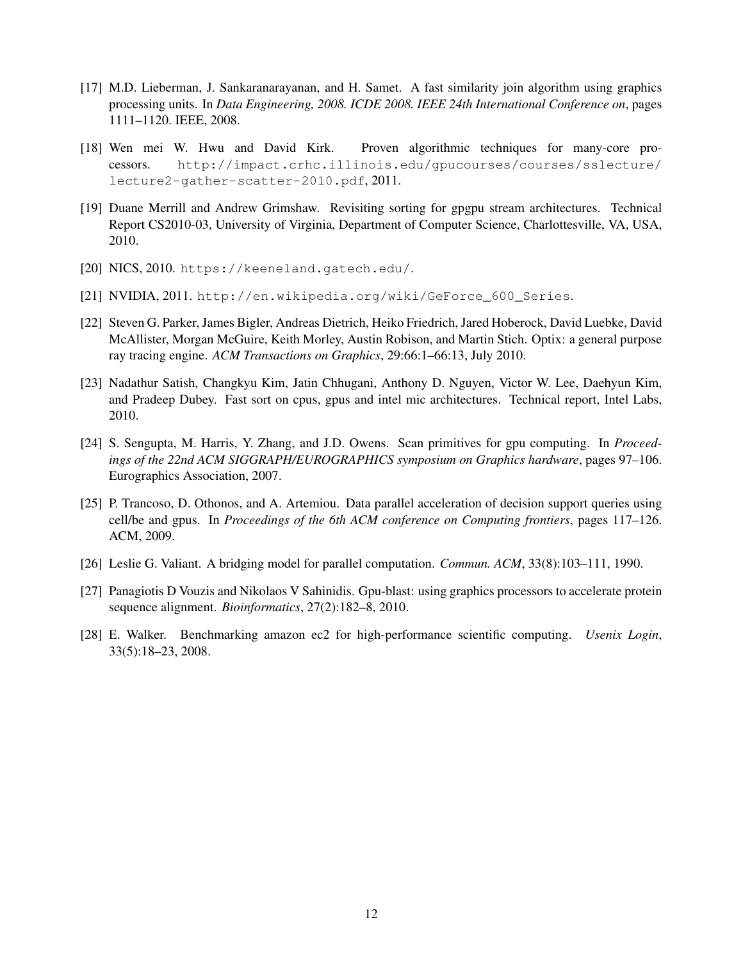- [17] M.D. Lieberman, J. Sankaranarayanan, and H. Samet. A fast similarity join algorithm using graphics processing units. In *Data Engineering, 2008. ICDE 2008. IEEE 24th International Conference on*, pages 1111–1120. IEEE, 2008.
- [18] Wen mei W. Hwu and David Kirk. Proven algorithmic techniques for many-core processors. http://impact.crhc.illinois.edu/gpucourses/courses/sslecture/ lecture2-gather-scatter-2010.pdf, 2011.
- [19] Duane Merrill and Andrew Grimshaw. Revisiting sorting for gpgpu stream architectures. Technical Report CS2010-03, University of Virginia, Department of Computer Science, Charlottesville, VA, USA, 2010.
- [20] NICS, 2010. https://keeneland.gatech.edu/.
- [21] NVIDIA, 2011. http://en.wikipedia.org/wiki/GeForce 600 Series.
- [22] Steven G. Parker, James Bigler, Andreas Dietrich, Heiko Friedrich, Jared Hoberock, David Luebke, David McAllister, Morgan McGuire, Keith Morley, Austin Robison, and Martin Stich. Optix: a general purpose ray tracing engine. *ACM Transactions on Graphics*, 29:66:1–66:13, July 2010.
- [23] Nadathur Satish, Changkyu Kim, Jatin Chhugani, Anthony D. Nguyen, Victor W. Lee, Daehyun Kim, and Pradeep Dubey. Fast sort on cpus, gpus and intel mic architectures. Technical report, Intel Labs, 2010.
- [24] S. Sengupta, M. Harris, Y. Zhang, and J.D. Owens. Scan primitives for gpu computing. In *Proceedings of the 22nd ACM SIGGRAPH/EUROGRAPHICS symposium on Graphics hardware*, pages 97–106. Eurographics Association, 2007.
- [25] P. Trancoso, D. Othonos, and A. Artemiou. Data parallel acceleration of decision support queries using cell/be and gpus. In *Proceedings of the 6th ACM conference on Computing frontiers*, pages 117–126. ACM, 2009.
- [26] Leslie G. Valiant. A bridging model for parallel computation. *Commun. ACM*, 33(8):103–111, 1990.
- [27] Panagiotis D Vouzis and Nikolaos V Sahinidis. Gpu-blast: using graphics processors to accelerate protein sequence alignment. *Bioinformatics*, 27(2):182–8, 2010.
- [28] E. Walker. Benchmarking amazon ec2 for high-performance scientific computing. *Usenix Login*, 33(5):18–23, 2008.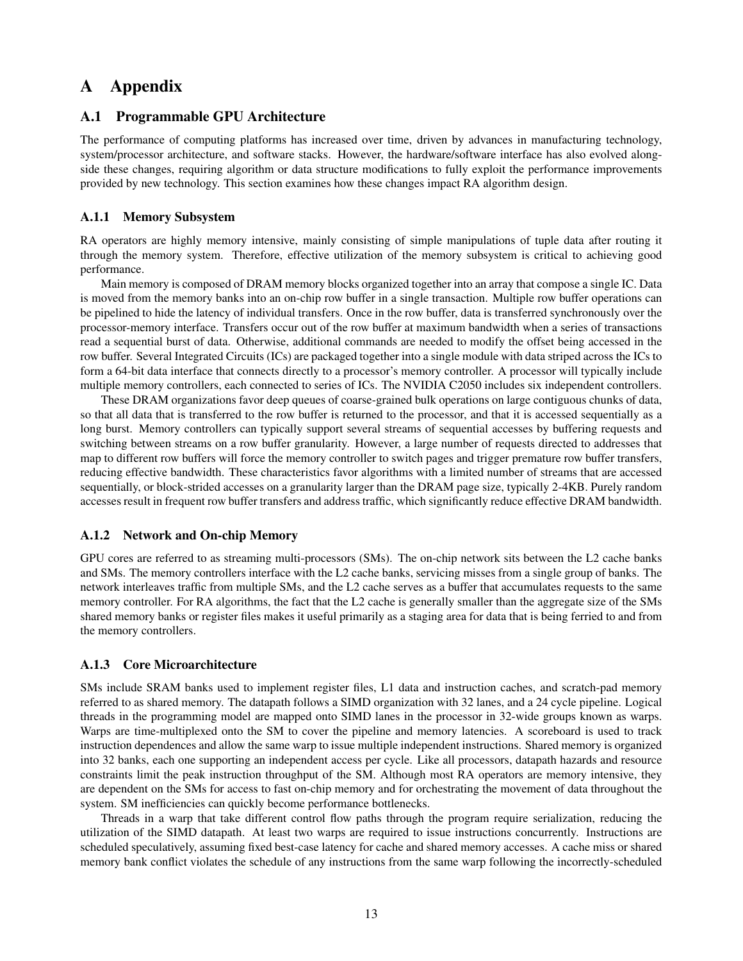## A Appendix

### A.1 Programmable GPU Architecture

The performance of computing platforms has increased over time, driven by advances in manufacturing technology, system/processor architecture, and software stacks. However, the hardware/software interface has also evolved alongside these changes, requiring algorithm or data structure modifications to fully exploit the performance improvements provided by new technology. This section examines how these changes impact RA algorithm design.

#### A.1.1 Memory Subsystem

RA operators are highly memory intensive, mainly consisting of simple manipulations of tuple data after routing it through the memory system. Therefore, effective utilization of the memory subsystem is critical to achieving good performance.

Main memory is composed of DRAM memory blocks organized together into an array that compose a single IC. Data is moved from the memory banks into an on-chip row buffer in a single transaction. Multiple row buffer operations can be pipelined to hide the latency of individual transfers. Once in the row buffer, data is transferred synchronously over the processor-memory interface. Transfers occur out of the row buffer at maximum bandwidth when a series of transactions read a sequential burst of data. Otherwise, additional commands are needed to modify the offset being accessed in the row buffer. Several Integrated Circuits (ICs) are packaged together into a single module with data striped across the ICs to form a 64-bit data interface that connects directly to a processor's memory controller. A processor will typically include multiple memory controllers, each connected to series of ICs. The NVIDIA C2050 includes six independent controllers.

These DRAM organizations favor deep queues of coarse-grained bulk operations on large contiguous chunks of data, so that all data that is transferred to the row buffer is returned to the processor, and that it is accessed sequentially as a long burst. Memory controllers can typically support several streams of sequential accesses by buffering requests and switching between streams on a row buffer granularity. However, a large number of requests directed to addresses that map to different row buffers will force the memory controller to switch pages and trigger premature row buffer transfers, reducing effective bandwidth. These characteristics favor algorithms with a limited number of streams that are accessed sequentially, or block-strided accesses on a granularity larger than the DRAM page size, typically 2-4KB. Purely random accesses result in frequent row buffer transfers and address traffic, which significantly reduce effective DRAM bandwidth.

#### A.1.2 Network and On-chip Memory

GPU cores are referred to as streaming multi-processors (SMs). The on-chip network sits between the L2 cache banks and SMs. The memory controllers interface with the L2 cache banks, servicing misses from a single group of banks. The network interleaves traffic from multiple SMs, and the L2 cache serves as a buffer that accumulates requests to the same memory controller. For RA algorithms, the fact that the L2 cache is generally smaller than the aggregate size of the SMs shared memory banks or register files makes it useful primarily as a staging area for data that is being ferried to and from the memory controllers.

#### A.1.3 Core Microarchitecture

SMs include SRAM banks used to implement register files, L1 data and instruction caches, and scratch-pad memory referred to as shared memory. The datapath follows a SIMD organization with 32 lanes, and a 24 cycle pipeline. Logical threads in the programming model are mapped onto SIMD lanes in the processor in 32-wide groups known as warps. Warps are time-multiplexed onto the SM to cover the pipeline and memory latencies. A scoreboard is used to track instruction dependences and allow the same warp to issue multiple independent instructions. Shared memory is organized into 32 banks, each one supporting an independent access per cycle. Like all processors, datapath hazards and resource constraints limit the peak instruction throughput of the SM. Although most RA operators are memory intensive, they are dependent on the SMs for access to fast on-chip memory and for orchestrating the movement of data throughout the system. SM inefficiencies can quickly become performance bottlenecks.

Threads in a warp that take different control flow paths through the program require serialization, reducing the utilization of the SIMD datapath. At least two warps are required to issue instructions concurrently. Instructions are scheduled speculatively, assuming fixed best-case latency for cache and shared memory accesses. A cache miss or shared memory bank conflict violates the schedule of any instructions from the same warp following the incorrectly-scheduled